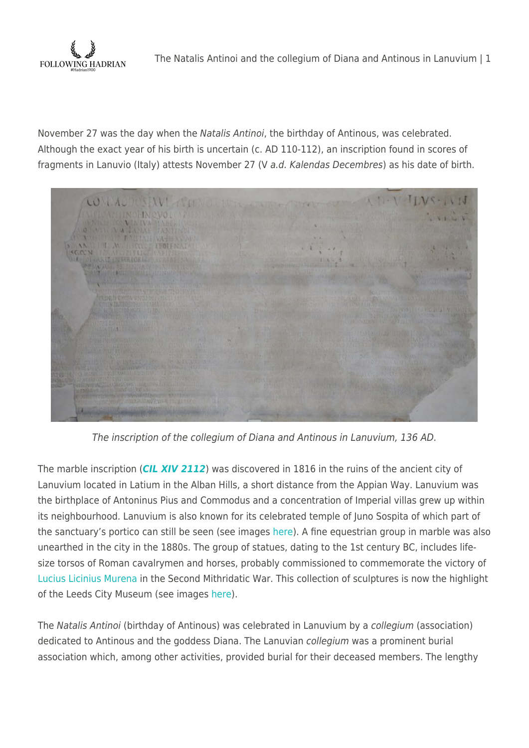

November 27 was the day when the Natalis Antinoi, the birthday of Antinous, was celebrated. Although the exact year of his birth is uncertain (c. AD 110-112), an inscription found in scores of fragments in Lanuvio (Italy) attests November 27 (V a.d. Kalendas Decembres) as his date of birth.



The inscription of the collegium of Diana and Antinous in Lanuvium, 136 AD.

The marble inscription (*[CIL XIV 2112](https://droitromain.univ-grenoble-alpes.fr/Negotia/Lanuvinum_CIL.htm)*) was discovered in 1816 in the ruins of the ancient city of Lanuvium located in Latium in the Alban Hills, a short distance from the Appian Way. Lanuvium was the birthplace of Antoninus Pius and Commodus and a concentration of Imperial villas grew up within its neighbourhood. Lanuvium is also known for its celebrated temple of Juno Sospita of which part of the sanctuary's portico can still be seen (see images [here\)](https://www.flickr.com/search/?user_id=41523983%40N08&sort=date-taken-desc&view_all=1&text=juno%20lanuvium%20portico). A fine equestrian group in marble was also unearthed in the city in the 1880s. The group of statues, dating to the 1st century BC, includes lifesize torsos of Roman cavalrymen and horses, probably commissioned to commemorate the victory of [Lucius Licinius Murena](https://en.wikipedia.org/wiki/Lucius_Licinius_Murena) in the Second Mithridatic War. This collection of sculptures is now the highlight of the Leeds City Museum (see images [here\)](https://www.flickr.com/search/?user_id=41523983%40N08&sort=date-taken-desc&view_all=1&text=Lanuvium%20Marbles%20Leeds).

The Natalis Antinoi (birthday of Antinous) was celebrated in Lanuvium by a collegium (association) dedicated to Antinous and the goddess Diana. The Lanuvian *collegium* was a prominent burial association which, among other activities, provided burial for their deceased members. The lengthy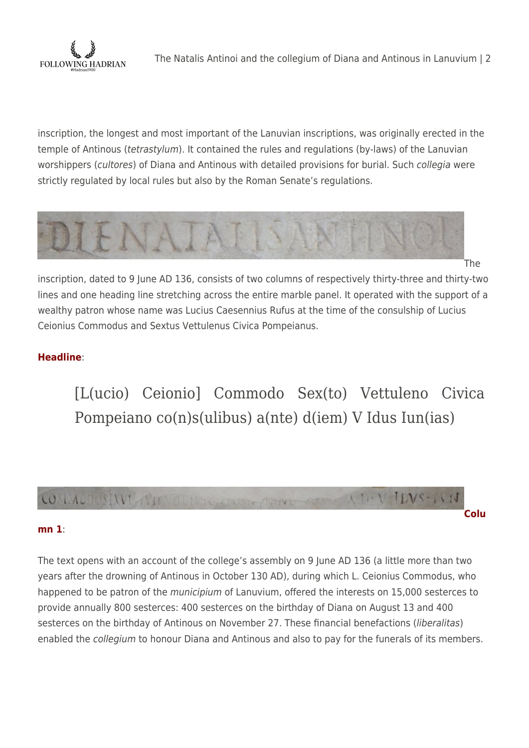

inscription, the longest and most important of the Lanuvian inscriptions, was originally erected in the temple of Antinous (tetrastylum). It contained the rules and regulations (by-laws) of the Lanuvian worshippers (cultores) of Diana and Antinous with detailed provisions for burial. Such *collegia* were strictly regulated by local rules but also by the Roman Senate's regulations.



inscription, dated to 9 June AD 136, consists of two columns of respectively thirty-three and thirty-two lines and one heading line stretching across the entire marble panel. It operated with the support of a wealthy patron whose name was Lucius Caesennius Rufus at the time of the consulship of Lucius Ceionius Commodus and Sextus Vettulenus Civica Pompeianus.

## **Headline**:

[L(ucio) Ceionio] Commodo Sex(to) Vettuleno Civica Pompeiano co(n)s(ulibus) a(nte) d(iem) V Idus Iun(ias)



#### **mn 1**:

The text opens with an account of the college's assembly on 9 June AD 136 (a little more than two years after the drowning of Antinous in October 130 AD), during which L. Ceionius Commodus, who happened to be patron of the municipium of Lanuvium, offered the interests on 15,000 sesterces to provide annually 800 sesterces: 400 sesterces on the birthday of Diana on August 13 and 400 sesterces on the birthday of Antinous on November 27. These financial benefactions (liberalitas) enabled the collegium to honour Diana and Antinous and also to pay for the funerals of its members.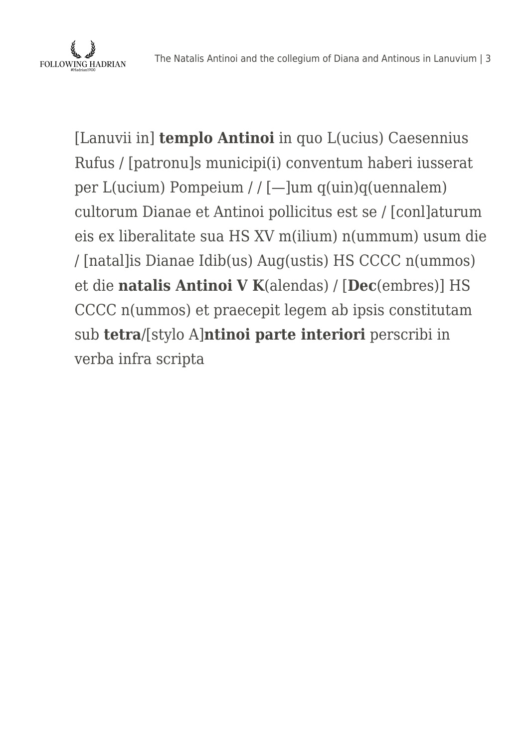

[Lanuvii in] **templo Antinoi** in quo L(ucius) Caesennius Rufus / [patronu]s municipi(i) conventum haberi iusserat per L(ucium) Pompeium / / [—]um q(uin)q(uennalem) cultorum Dianae et Antinoi pollicitus est se / [conl]aturum eis ex liberalitate sua HS XV m(ilium) n(ummum) usum die / [natal]is Dianae Idib(us) Aug(ustis) HS CCCC n(ummos) et die **natalis Antinoi V K**(alendas) / [**Dec**(embres)] HS CCCC n(ummos) et praecepit legem ab ipsis constitutam sub **tetra**/[stylo A]**ntinoi parte interiori** perscribi in verba infra scripta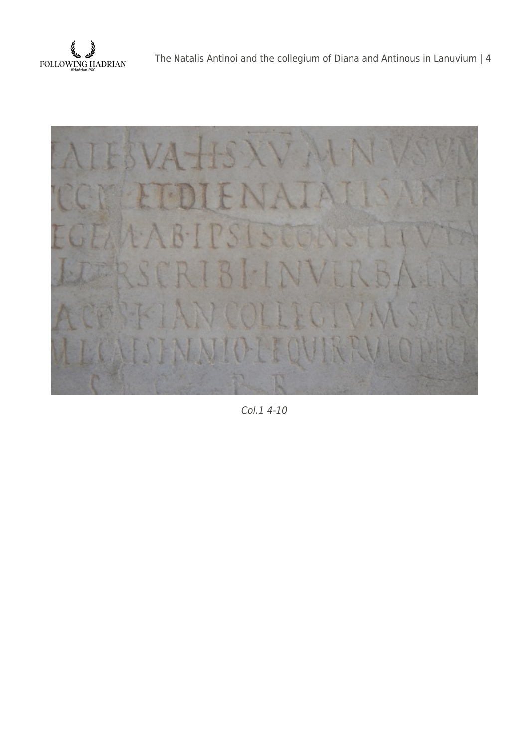



Col.1 4-10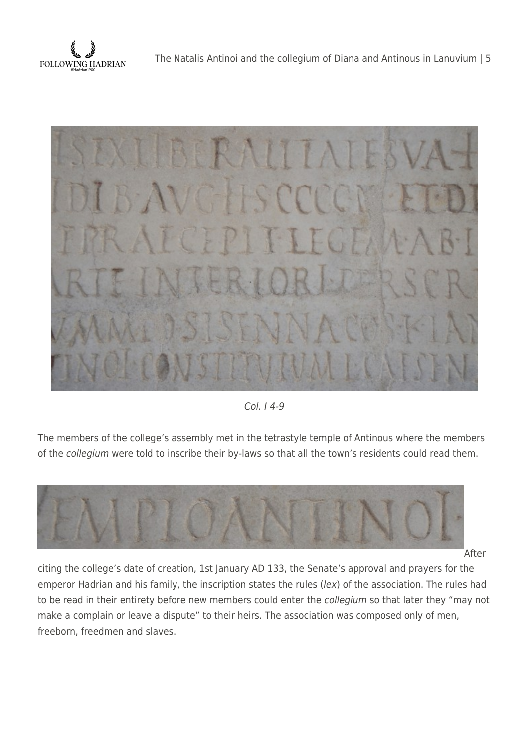



Col. I 4-9

The members of the college's assembly met in the tetrastyle temple of Antinous where the members of the collegium were told to inscribe their by-laws so that all the town's residents could read them.



After

citing the college's date of creation, 1st January AD 133, the Senate's approval and prayers for the emperor Hadrian and his family, the inscription states the rules (lex) of the association. The rules had to be read in their entirety before new members could enter the collegium so that later they "may not make a complain or leave a dispute" to their heirs. The association was composed only of men, freeborn, freedmen and slaves.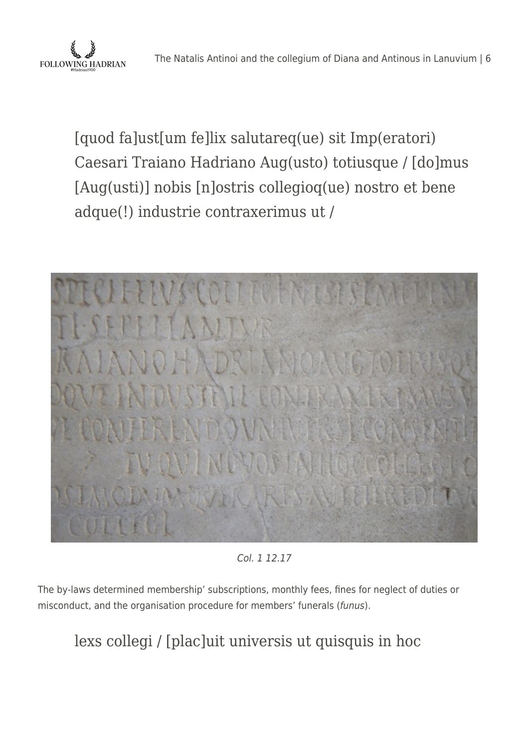[quod fa]ust[um fe]lix salutareq(ue) sit Imp(eratori) Caesari Traiano Hadriano Aug(usto) totiusque / [do]mus [Aug(usti)] nobis [n]ostris collegioq(ue) nostro et bene adque(!) industrie contraxerimus ut /



Col. 1 12.17

The by-laws determined membership' subscriptions, monthly fees, fines for neglect of duties or misconduct, and the organisation procedure for members' funerals (funus).

lexs collegi / [plac]uit universis ut quisquis in hoc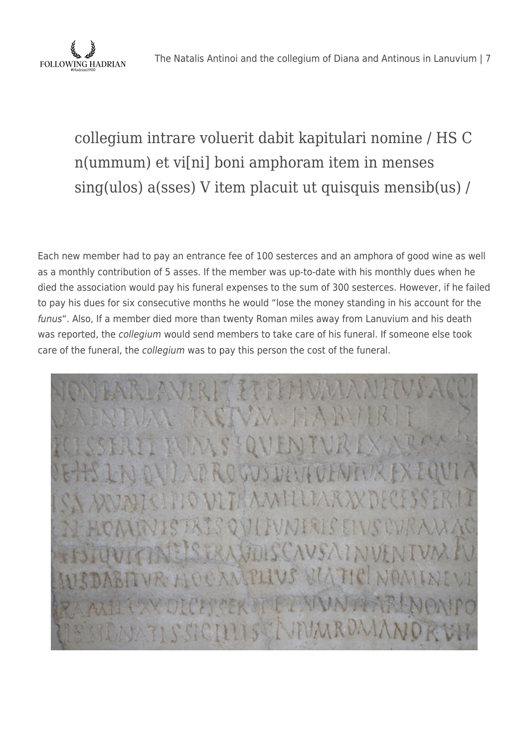

collegium intrare voluerit dabit kapitulari nomine / HS C n(ummum) et vi[ni] boni amphoram item in menses sing(ulos) a(sses) V item placuit ut quisquis mensib(us) /

Each new member had to pay an entrance fee of 100 sesterces and an amphora of good wine as well as a monthly contribution of 5 asses. If the member was up-to-date with his monthly dues when he died the association would pay his funeral expenses to the sum of 300 sesterces. However, if he failed to pay his dues for six consecutive months he would "lose the money standing in his account for the funus". Also, If a member died more than twenty Roman miles away from Lanuvium and his death was reported, the collegium would send members to take care of his funeral. If someone else took care of the funeral, the collegium was to pay this person the cost of the funeral.

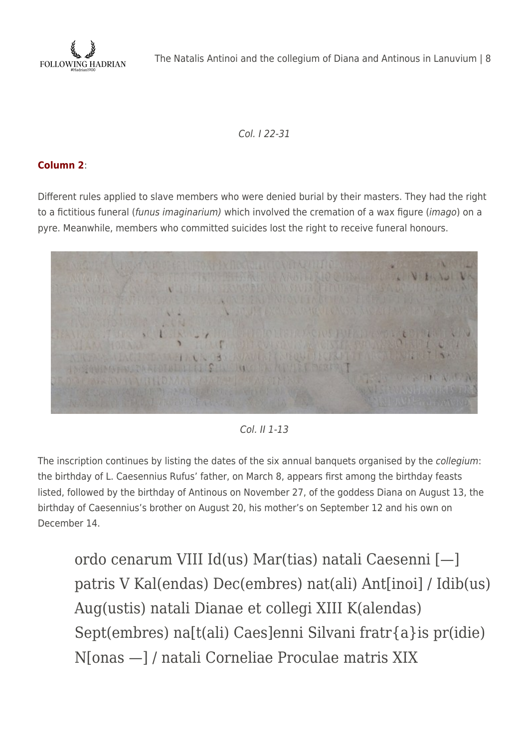

## Col. I 22-31

### **Column 2**:

Different rules applied to slave members who were denied burial by their masters. They had the right to a fictitious funeral (funus imaginarium) which involved the cremation of a wax figure (imago) on a pyre. Meanwhile, members who committed suicides lost the right to receive funeral honours.



Col. II 1-13

The inscription continues by listing the dates of the six annual banquets organised by the collegium: the birthday of L. Caesennius Rufus' father, on March 8, appears first among the birthday feasts listed, followed by the birthday of Antinous on November 27, of the goddess Diana on August 13, the birthday of Caesennius's brother on August 20, his mother's on September 12 and his own on December 14.

ordo cenarum VIII Id(us) Mar(tias) natali Caesenni [—] patris V Kal(endas) Dec(embres) nat(ali) Ant[inoi] / Idib(us) Aug(ustis) natali Dianae et collegi XIII K(alendas) Sept(embres) na[t(ali) Caes]enni Silvani fratr{a}is pr(idie) N[onas —] / natali Corneliae Proculae matris XIX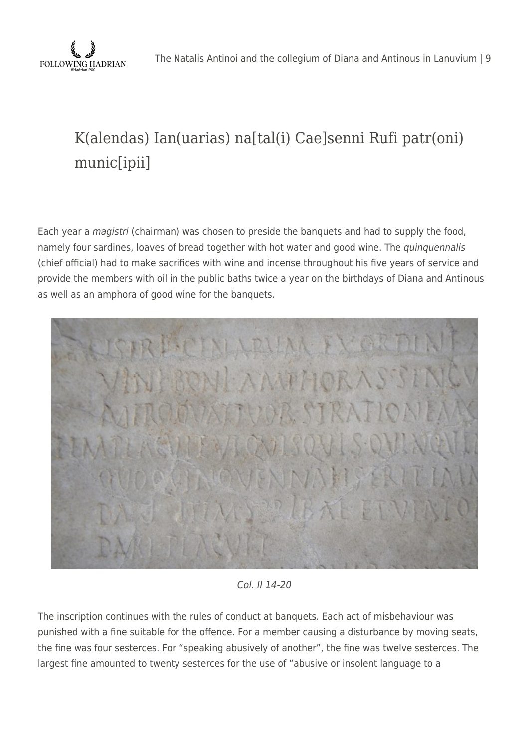# K(alendas) Ian(uarias) na[tal(i) Cae]senni Rufi patr(oni) munic[ipii]

Each year a magistri (chairman) was chosen to preside the banquets and had to supply the food, namely four sardines, loaves of bread together with hot water and good wine. The quinquennalis (chief official) had to make sacrifices with wine and incense throughout his five years of service and provide the members with oil in the public baths twice a year on the birthdays of Diana and Antinous as well as an amphora of good wine for the banquets.



Col. II 14-20

The inscription continues with the rules of conduct at banquets. Each act of misbehaviour was punished with a fine suitable for the offence. For a member causing a disturbance by moving seats, the fine was four sesterces. For "speaking abusively of another", the fine was twelve sesterces. The largest fine amounted to twenty sesterces for the use of "abusive or insolent language to a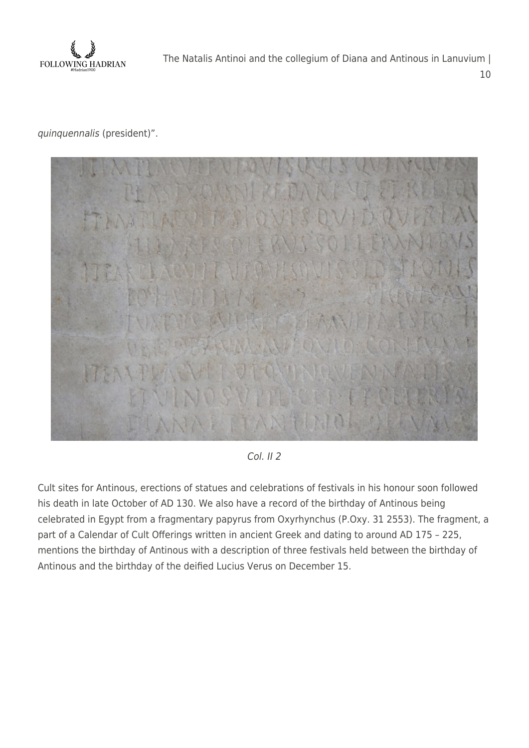

The Natalis Antinoi and the collegium of Diana and Antinous in Lanuvium | 10

quinquennalis (president)".



Col. II 2

Cult sites for Antinous, erections of statues and celebrations of festivals in his honour soon followed his death in late October of AD 130. We also have a record of the birthday of Antinous being celebrated in Egypt from a fragmentary papyrus from Oxyrhynchus (P.Oxy. 31 2553). The fragment, a part of a Calendar of Cult Offerings written in ancient Greek and dating to around AD 175 – 225, mentions the birthday of Antinous with a description of three festivals held between the birthday of Antinous and the birthday of the deified Lucius Verus on December 15.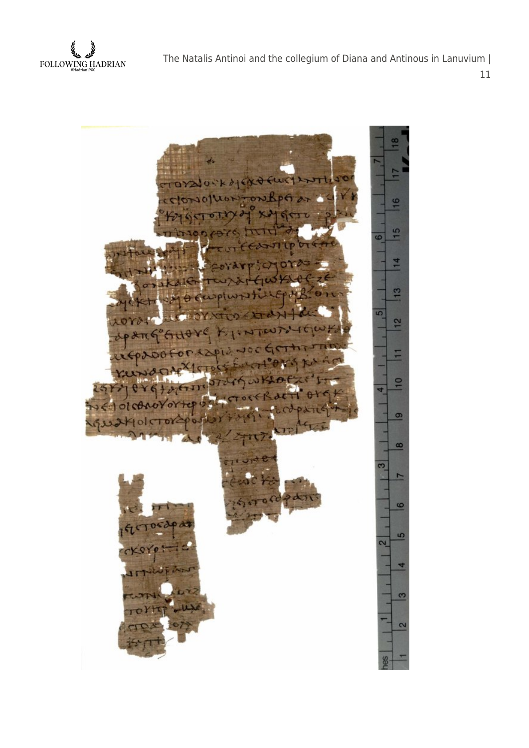

The Natalis Antinoi and the collegium of Diana and Antinous in Lanuvium | 11

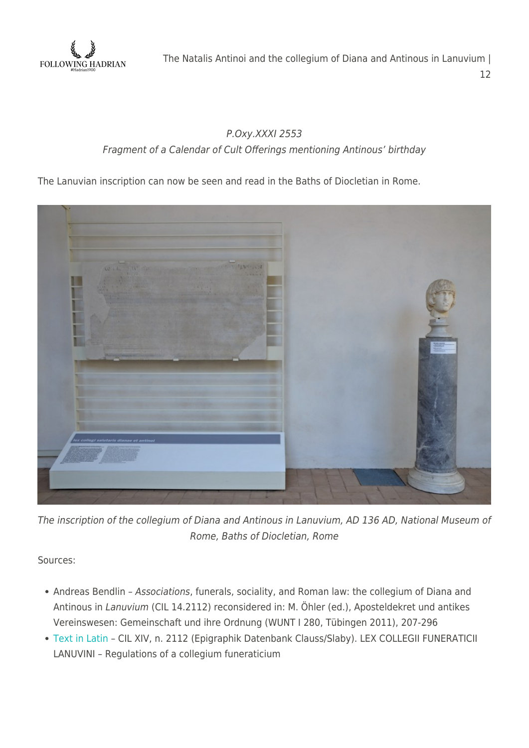

P.Oxy.XXXI 2553 Fragment of a Calendar of Cult Offerings mentioning Antinous' birthday

The Lanuvian inscription can now be seen and read in the Baths of Diocletian in Rome.



The inscription of the collegium of Diana and Antinous in Lanuvium, AD 136 AD, National Museum of Rome, Baths of Diocletian, Rome

Sources:

- Andreas Bendlin Associations, funerals, sociality, and Roman law: the collegium of Diana and Antinous in Lanuvium (CIL 14.2112) reconsidered in: M. Öhler (ed.), Aposteldekret und antikes Vereinswesen: Gemeinschaft und ihre Ordnung (WUNT I 280, Tübingen 2011), 207-296
- [Text in Latin](http://droitromain.upmf-grenoble.fr/Negotia/Lanuvinum_CIL.htm)  CIL XIV, n. 2112 (Epigraphik Datenbank Clauss/Slaby). LEX COLLEGII FUNERATICII LANUVINI – Regulations of a collegium funeraticium